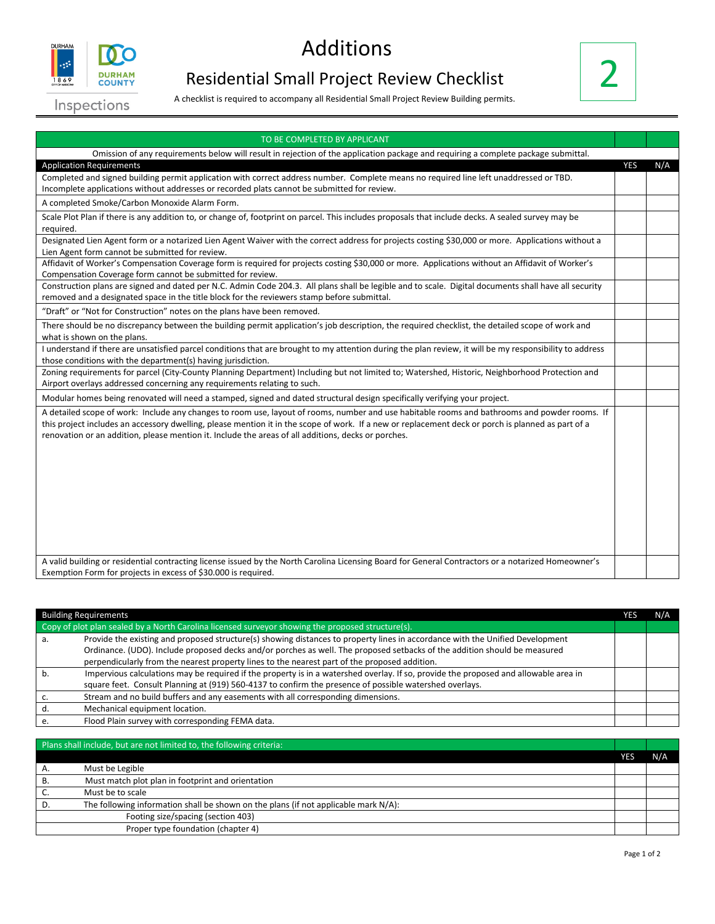

## Additions

## Residential Small Project Review Checklist



Inspections

A checklist is required to accompany all Residential Small Project Review Building permits.

| TO BE COMPLETED BY APPLICANT                                                                                                                                                                                                                                                                                                                                                                               |            |     |
|------------------------------------------------------------------------------------------------------------------------------------------------------------------------------------------------------------------------------------------------------------------------------------------------------------------------------------------------------------------------------------------------------------|------------|-----|
| Omission of any requirements below will result in rejection of the application package and requiring a complete package submittal.                                                                                                                                                                                                                                                                         |            |     |
| <b>Application Requirements</b>                                                                                                                                                                                                                                                                                                                                                                            | <b>YES</b> | N/A |
| Completed and signed building permit application with correct address number. Complete means no required line left unaddressed or TBD.<br>Incomplete applications without addresses or recorded plats cannot be submitted for review.                                                                                                                                                                      |            |     |
| A completed Smoke/Carbon Monoxide Alarm Form.                                                                                                                                                                                                                                                                                                                                                              |            |     |
| Scale Plot Plan if there is any addition to, or change of, footprint on parcel. This includes proposals that include decks. A sealed survey may be<br>required.                                                                                                                                                                                                                                            |            |     |
| Designated Lien Agent form or a notarized Lien Agent Waiver with the correct address for projects costing \$30,000 or more. Applications without a<br>Lien Agent form cannot be submitted for review.                                                                                                                                                                                                      |            |     |
| Affidavit of Worker's Compensation Coverage form is required for projects costing \$30,000 or more. Applications without an Affidavit of Worker's<br>Compensation Coverage form cannot be submitted for review.                                                                                                                                                                                            |            |     |
| Construction plans are signed and dated per N.C. Admin Code 204.3. All plans shall be legible and to scale. Digital documents shall have all security<br>removed and a designated space in the title block for the reviewers stamp before submittal.                                                                                                                                                       |            |     |
| "Draft" or "Not for Construction" notes on the plans have been removed.                                                                                                                                                                                                                                                                                                                                    |            |     |
| There should be no discrepancy between the building permit application's job description, the required checklist, the detailed scope of work and<br>what is shown on the plans.                                                                                                                                                                                                                            |            |     |
| I understand if there are unsatisfied parcel conditions that are brought to my attention during the plan review, it will be my responsibility to address<br>those conditions with the department(s) having jurisdiction.                                                                                                                                                                                   |            |     |
| Zoning requirements for parcel (City-County Planning Department) Including but not limited to; Watershed, Historic, Neighborhood Protection and<br>Airport overlays addressed concerning any requirements relating to such.                                                                                                                                                                                |            |     |
| Modular homes being renovated will need a stamped, signed and dated structural design specifically verifying your project.                                                                                                                                                                                                                                                                                 |            |     |
| A detailed scope of work: Include any changes to room use, layout of rooms, number and use habitable rooms and bathrooms and powder rooms. If<br>this project includes an accessory dwelling, please mention it in the scope of work. If a new or replacement deck or porch is planned as part of a<br>renovation or an addition, please mention it. Include the areas of all additions, decks or porches. |            |     |
| A valid building or residential contracting license issued by the North Carolina Licensing Board for General Contractors or a notarized Homeowner's<br>Exemption Form for projects in excess of \$30,000 is required.                                                                                                                                                                                      |            |     |

|                                                                                                   | <b>Building Requirements</b>                                                                                                         | N/A |
|---------------------------------------------------------------------------------------------------|--------------------------------------------------------------------------------------------------------------------------------------|-----|
| Copy of plot plan sealed by a North Carolina licensed surveyor showing the proposed structure(s). |                                                                                                                                      |     |
|                                                                                                   | Provide the existing and proposed structure(s) showing distances to property lines in accordance with the Unified Development        |     |
|                                                                                                   | Ordinance. (UDO). Include proposed decks and/or porches as well. The proposed setbacks of the addition should be measured            |     |
|                                                                                                   | perpendicularly from the nearest property lines to the nearest part of the proposed addition.                                        |     |
|                                                                                                   | Impervious calculations may be required if the property is in a watershed overlay. If so, provide the proposed and allowable area in |     |
|                                                                                                   | square feet. Consult Planning at (919) 560-4137 to confirm the presence of possible watershed overlays.                              |     |
|                                                                                                   | Stream and no build buffers and any easements with all corresponding dimensions.                                                     |     |
|                                                                                                   | Mechanical equipment location.                                                                                                       |     |
|                                                                                                   | Flood Plain survey with corresponding FEMA data.                                                                                     |     |

| Plans shall include, but are not limited to, the following criteria:                   |     |     |
|----------------------------------------------------------------------------------------|-----|-----|
|                                                                                        | YES | N/A |
| Must be Legible                                                                        |     |     |
| Must match plot plan in footprint and orientation                                      |     |     |
| Must be to scale                                                                       |     |     |
| The following information shall be shown on the plans (if not applicable mark $N/A$ ): |     |     |
| Footing size/spacing (section 403)                                                     |     |     |
| Proper type foundation (chapter 4)                                                     |     |     |